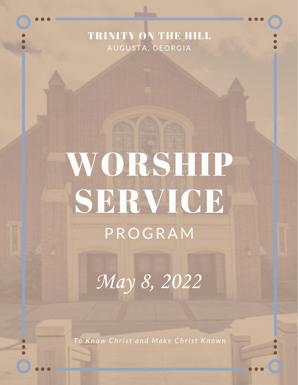## **TRINITY ON THE HILL** AUGUSTA, GEORGIA

## WORSHIP SERVICE PROGRAM

*May 8, 2022*

To Know Christ and Make Christ Known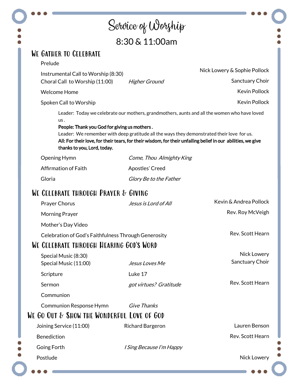|                                                                                    | Service of Worship                                                                        |                                                                                                                                                                                                              |
|------------------------------------------------------------------------------------|-------------------------------------------------------------------------------------------|--------------------------------------------------------------------------------------------------------------------------------------------------------------------------------------------------------------|
|                                                                                    | 8:30 & 11:00am                                                                            |                                                                                                                                                                                                              |
| WE GATHER TO CELEBRATE                                                             |                                                                                           |                                                                                                                                                                                                              |
| Prelude                                                                            |                                                                                           | Nick Lowery & Sophie Pollock                                                                                                                                                                                 |
| Instrumental Call to Worship (8:30)<br>Choral Call to Worship (11:00)              | <b>Higher Ground</b>                                                                      | Sanctuary Choir                                                                                                                                                                                              |
| <b>Welcome Home</b>                                                                |                                                                                           | <b>Kevin Pollock</b>                                                                                                                                                                                         |
| Spoken Call to Worship                                                             |                                                                                           | <b>Kevin Pollock</b>                                                                                                                                                                                         |
| us.<br>People: Thank you God for giving us mothers.<br>thanks to you, Lord, today. | Leader: We remember with deep gratitude all the ways they demonstrated their love for us. | Leader: Today we celebrate our mothers, grandmothers, aunts and all the women who have loved<br>All: For their love, for their tears, for their wisdom, for their unfailing belief in our abilities, we give |
| Opening Hymn                                                                       | Come, Thou Almighty King                                                                  |                                                                                                                                                                                                              |
| Affirmation of Faith                                                               | Apostles' Creed                                                                           |                                                                                                                                                                                                              |
| Gloria                                                                             | Glory Be to the Father                                                                    |                                                                                                                                                                                                              |
| WE CELEBRATE THROUGH PRAYER & GIVING                                               |                                                                                           |                                                                                                                                                                                                              |
| Prayer Chorus                                                                      | Jesus is Lord of All                                                                      | Kevin & Andrea Pollock                                                                                                                                                                                       |
| <b>Morning Prayer</b>                                                              |                                                                                           | Rev. Roy McVeigh                                                                                                                                                                                             |
| Mother's Day Video                                                                 |                                                                                           |                                                                                                                                                                                                              |
| Celebration of God's Faithfulness Through Generosity                               |                                                                                           | Rev. Scott Hearn                                                                                                                                                                                             |
| WE CELEBRATE THROUGH HEARING GOD'S WORD                                            |                                                                                           |                                                                                                                                                                                                              |
| Special Music (8:30)<br>Special Music (11:00)                                      | Jesus Loves Me                                                                            | Nick Lowery<br>Sanctuary Choir                                                                                                                                                                               |
| Scripture                                                                          | Luke 17                                                                                   |                                                                                                                                                                                                              |
| Sermon                                                                             | got virtues? Gratitude                                                                    | Rev. Scott Hearn                                                                                                                                                                                             |
| Communion                                                                          |                                                                                           |                                                                                                                                                                                                              |
| <b>Communion Response Hymn</b><br>WE GO OUT & SHOW THE WONDERFUL LOVE OF GOD       | Give Thanks                                                                               |                                                                                                                                                                                                              |
| Joining Service (11:00)                                                            | <b>Richard Bargeron</b>                                                                   | Lauren Benson                                                                                                                                                                                                |
| <b>Benediction</b>                                                                 |                                                                                           | Rev. Scott Hearn                                                                                                                                                                                             |
|                                                                                    |                                                                                           |                                                                                                                                                                                                              |
| Going Forth                                                                        | <i>I Sing Because I'm Happy</i>                                                           |                                                                                                                                                                                                              |